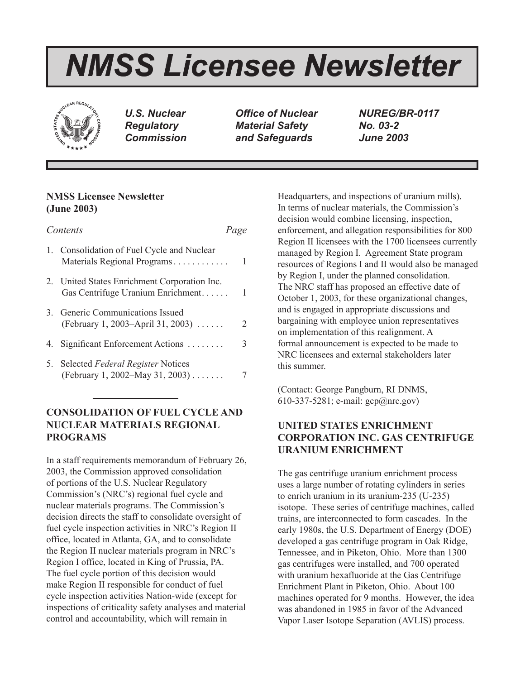# *NMSS Licensee Newsletter*



*U.S. Nuclear Regulatory Commission*

*Office of Nuclear Material Safety and Safeguards*

*NUREG/BR-0117 No. 03-2 June 2003*

# **NMSS Licensee Newsletter (June 2003)**

| Contents                                                                          | Page |   |
|-----------------------------------------------------------------------------------|------|---|
| 1. Consolidation of Fuel Cycle and Nuclear<br>Materials Regional Programs         |      | 1 |
| 2. United States Enrichment Corporation Inc.<br>Gas Centrifuge Uranium Enrichment |      | 1 |
| 3. Generic Communications Issued<br>(February 1, 2003–April 31, 2003)             |      | 2 |
| 4. Significant Enforcement Actions                                                |      | 3 |
| 5. Selected Federal Register Notices<br>(February 1, 2002–May 31, 2003)           |      |   |

# **CONSOLIDATION OF FUEL CYCLE AND NUCLEAR MATERIALS REGIONAL PROGRAMS**

In a staff requirements memorandum of February 26, 2003, the Commission approved consolidation of portions of the U.S. Nuclear Regulatory Commission's (NRC's) regional fuel cycle and nuclear materials programs. The Commission's decision directs the staff to consolidate oversight of fuel cycle inspection activities in NRC's Region II office, located in Atlanta, GA, and to consolidate the Region II nuclear materials program in NRC's Region I office, located in King of Prussia, PA. The fuel cycle portion of this decision would make Region II responsible for conduct of fuel cycle inspection activities Nation-wide (except for inspections of criticality safety analyses and material control and accountability, which will remain in

Headquarters, and inspections of uranium mills). In terms of nuclear materials, the Commission's decision would combine licensing, inspection, enforcement, and allegation responsibilities for 800 Region II licensees with the 1700 licensees currently managed by Region I. Agreement State program resources of Regions I and II would also be managed by Region I, under the planned consolidation. The NRC staff has proposed an effective date of October 1, 2003, for these organizational changes, and is engaged in appropriate discussions and bargaining with employee union representatives on implementation of this realignment. A formal announcement is expected to be made to NRC licensees and external stakeholders later this summer.

(Contact: George Pangburn, RI DNMS, 610-337-5281; e-mail: gcp@nrc.gov)

# **UNITED STATES ENRICHMENT CORPORATION INC. GAS CENTRIFUGE URANIUM ENRICHMENT**

The gas centrifuge uranium enrichment process uses a large number of rotating cylinders in series to enrich uranium in its uranium-235 (U-235) isotope. These series of centrifuge machines, called trains, are interconnected to form cascades. In the early 1980s, the U.S. Department of Energy (DOE) developed a gas centrifuge program in Oak Ridge, Tennessee, and in Piketon, Ohio. More than 1300 gas centrifuges were installed, and 700 operated with uranium hexafluoride at the Gas Centrifuge Enrichment Plant in Piketon, Ohio. About 100 machines operated for 9 months. However, the idea was abandoned in 1985 in favor of the Advanced Vapor Laser Isotope Separation (AVLIS) process.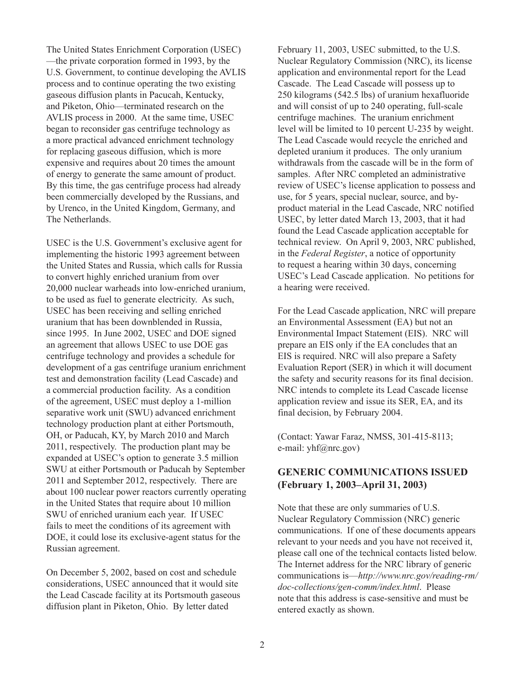The United States Enrichment Corporation (USEC) —the private corporation formed in 1993, by the U.S. Government, to continue developing the AVLIS process and to continue operating the two existing gaseous diffusion plants in Pacucah, Kentucky, and Piketon, Ohio—terminated research on the AVLIS process in 2000. At the same time, USEC began to reconsider gas centrifuge technology as a more practical advanced enrichment technology for replacing gaseous diffusion, which is more expensive and requires about 20 times the amount of energy to generate the same amount of product. By this time, the gas centrifuge process had already been commercially developed by the Russians, and by Urenco, in the United Kingdom, Germany, and The Netherlands.

USEC is the U.S. Government's exclusive agent for implementing the historic 1993 agreement between the United States and Russia, which calls for Russia to convert highly enriched uranium from over 20,000 nuclear warheads into low-enriched uranium, to be used as fuel to generate electricity. As such, USEC has been receiving and selling enriched uranium that has been downblended in Russia, since 1995. In June 2002, USEC and DOE signed an agreement that allows USEC to use DOE gas centrifuge technology and provides a schedule for development of a gas centrifuge uranium enrichment test and demonstration facility (Lead Cascade) and a commercial production facility. As a condition of the agreement, USEC must deploy a 1-million separative work unit (SWU) advanced enrichment technology production plant at either Portsmouth, OH, or Paducah, KY, by March 2010 and March 2011, respectively. The production plant may be expanded at USEC's option to generate 3.5 million SWU at either Portsmouth or Paducah by September 2011 and September 2012, respectively. There are about 100 nuclear power reactors currently operating in the United States that require about 10 million SWU of enriched uranium each year. If USEC fails to meet the conditions of its agreement with DOE, it could lose its exclusive-agent status for the Russian agreement.

On December 5, 2002, based on cost and schedule considerations, USEC announced that it would site the Lead Cascade facility at its Portsmouth gaseous diffusion plant in Piketon, Ohio. By letter dated

February 11, 2003, USEC submitted, to the U.S. Nuclear Regulatory Commission (NRC), its license application and environmental report for the Lead Cascade. The Lead Cascade will possess up to 250 kilograms (542.5 lbs) of uranium hexafluoride and will consist of up to 240 operating, full-scale centrifuge machines. The uranium enrichment level will be limited to 10 percent U-235 by weight. The Lead Cascade would recycle the enriched and depleted uranium it produces. The only uranium withdrawals from the cascade will be in the form of samples. After NRC completed an administrative review of USEC's license application to possess and use, for 5 years, special nuclear, source, and byproduct material in the Lead Cascade, NRC notified USEC, by letter dated March 13, 2003, that it had found the Lead Cascade application acceptable for technical review. On April 9, 2003, NRC published, in the *Federal Register*, a notice of opportunity to request a hearing within 30 days, concerning USEC's Lead Cascade application. No petitions for a hearing were received.

For the Lead Cascade application, NRC will prepare an Environmental Assessment (EA) but not an Environmental Impact Statement (EIS). NRC will prepare an EIS only if the EA concludes that an EIS is required. NRC will also prepare a Safety Evaluation Report (SER) in which it will document the safety and security reasons for its final decision. NRC intends to complete its Lead Cascade license application review and issue its SER, EA, and its final decision, by February 2004.

(Contact: Yawar Faraz, NMSS, 301-415-8113; e-mail: yhf@nrc.gov)

## **GENERIC COMMUNICATIONS ISSUED (February 1, 2003–April 31, 2003)**

Note that these are only summaries of U.S. Nuclear Regulatory Commission (NRC) generic communications. If one of these documents appears relevant to your needs and you have not received it, please call one of the technical contacts listed below. The Internet address for the NRC library of generic communications is—*http://www.nrc.gov/reading-rm/ doc-collections/gen-comm/index.html*. Please note that this address is case-sensitive and must be entered exactly as shown.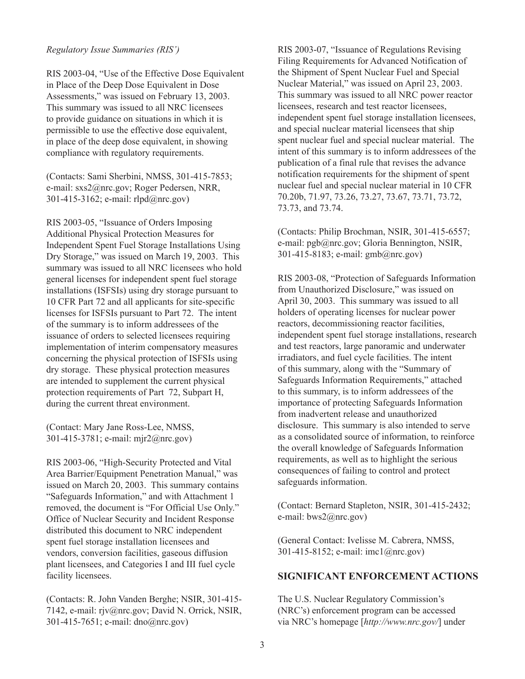#### *Regulatory Issue Summaries (RIS')*

RIS 2003-04, "Use of the Effective Dose Equivalent in Place of the Deep Dose Equivalent in Dose Assessments," was issued on February 13, 2003. This summary was issued to all NRC licensees to provide guidance on situations in which it is permissible to use the effective dose equivalent, in place of the deep dose equivalent, in showing compliance with regulatory requirements.

(Contacts: Sami Sherbini, NMSS, 301-415-7853; e-mail: sxs2@nrc.gov; Roger Pedersen, NRR, 301-415-3162; e-mail: rlpd@nrc.gov)

RIS 2003-05, "Issuance of Orders Imposing Additional Physical Protection Measures for Independent Spent Fuel Storage Installations Using Dry Storage," was issued on March 19, 2003. This summary was issued to all NRC licensees who hold general licenses for independent spent fuel storage installations (ISFSIs) using dry storage pursuant to 10 CFR Part 72 and all applicants for site-specific licenses for ISFSIs pursuant to Part 72. The intent of the summary is to inform addressees of the issuance of orders to selected licensees requiring implementation of interim compensatory measures concerning the physical protection of ISFSIs using dry storage. These physical protection measures are intended to supplement the current physical protection requirements of Part 72, Subpart H, during the current threat environment.

(Contact: Mary Jane Ross-Lee, NMSS, 301-415-3781; e-mail: mjr2@nrc.gov)

RIS 2003-06, "High-Security Protected and Vital Area Barrier/Equipment Penetration Manual," was issued on March 20, 2003. This summary contains "Safeguards Information," and with Attachment 1 removed, the document is "For Official Use Only." Office of Nuclear Security and Incident Response distributed this document to NRC independent spent fuel storage installation licensees and vendors, conversion facilities, gaseous diffusion plant licensees, and Categories I and III fuel cycle facility licensees.

(Contacts: R. John Vanden Berghe; NSIR, 301-415- 7142, e-mail: rjv@nrc.gov; David N. Orrick, NSIR, 301-415-7651; e-mail: dno@nrc.gov)

RIS 2003-07, "Issuance of Regulations Revising Filing Requirements for Advanced Notification of the Shipment of Spent Nuclear Fuel and Special Nuclear Material," was issued on April 23, 2003. This summary was issued to all NRC power reactor licensees, research and test reactor licensees, independent spent fuel storage installation licensees, and special nuclear material licensees that ship spent nuclear fuel and special nuclear material. The intent of this summary is to inform addressees of the publication of a final rule that revises the advance notification requirements for the shipment of spent nuclear fuel and special nuclear material in 10 CFR 70.20b, 71.97, 73.26, 73.27, 73.67, 73.71, 73.72, 73.73, and 73.74.

(Contacts: Philip Brochman, NSIR, 301-415-6557; e-mail: pgb@nrc.gov; Gloria Bennington, NSIR, 301-415-8183; e-mail: gmb@nrc.gov)

RIS 2003-08, "Protection of Safeguards Information from Unauthorized Disclosure," was issued on April 30, 2003. This summary was issued to all holders of operating licenses for nuclear power reactors, decommissioning reactor facilities, independent spent fuel storage installations, research and test reactors, large panoramic and underwater irradiators, and fuel cycle facilities. The intent of this summary, along with the "Summary of Safeguards Information Requirements," attached to this summary, is to inform addressees of the importance of protecting Safeguards Information from inadvertent release and unauthorized disclosure. This summary is also intended to serve as a consolidated source of information, to reinforce the overall knowledge of Safeguards Information requirements, as well as to highlight the serious consequences of failing to control and protect safeguards information.

(Contact: Bernard Stapleton, NSIR, 301-415-2432; e-mail: bws2@nrc.gov)

(General Contact: Ivelisse M. Cabrera, NMSS, 301-415-8152; e-mail: imc1@nrc.gov)

## **SIGNIFICANT ENFORCEMENT ACTIONS**

The U.S. Nuclear Regulatory Commission's (NRC's) enforcement program can be accessed via NRC's homepage [*http://www.nrc.gov/*] under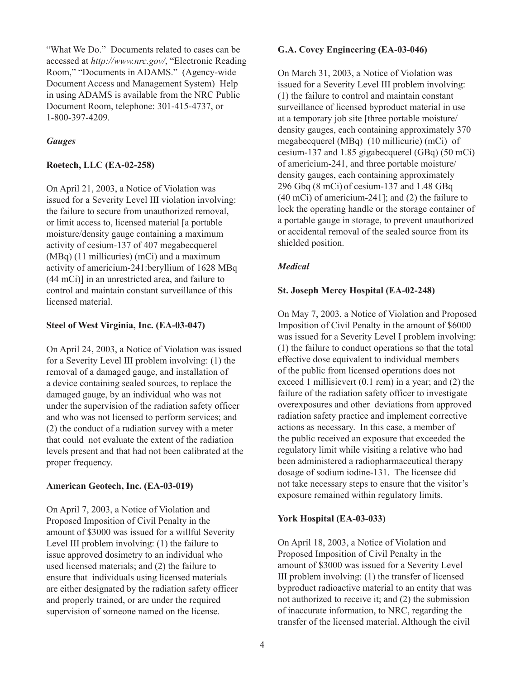"What We Do." Documents related to cases can be accessed at *http://www.nrc.gov/*, "Electronic Reading Room," "Documents in ADAMS." (Agency-wide Document Access and Management System) Help in using ADAMS is available from the NRC Public Document Room, telephone: 301-415-4737, or 1-800-397-4209.

## *Gauges*

#### **Roetech, LLC (EA-02-258)**

On April 21, 2003, a Notice of Violation was issued for a Severity Level III violation involving: the failure to secure from unauthorized removal, or limit access to, licensed material [a portable moisture/density gauge containing a maximum activity of cesium-137 of 407 megabecquerel (MBq) (11 millicuries) (mCi) and a maximum activity of americium-241:beryllium of 1628 MBq (44 mCi)] in an unrestricted area, and failure to control and maintain constant surveillance of this licensed material.

## **Steel of West Virginia, Inc. (EA-03-047)**

On April 24, 2003, a Notice of Violation was issued for a Severity Level III problem involving: (1) the removal of a damaged gauge, and installation of a device containing sealed sources, to replace the damaged gauge, by an individual who was not under the supervision of the radiation safety officer and who was not licensed to perform services; and (2) the conduct of a radiation survey with a meter that could not evaluate the extent of the radiation levels present and that had not been calibrated at the proper frequency.

#### **American Geotech, Inc. (EA-03-019)**

On April 7, 2003, a Notice of Violation and Proposed Imposition of Civil Penalty in the amount of \$3000 was issued for a willful Severity Level III problem involving: (1) the failure to issue approved dosimetry to an individual who used licensed materials; and (2) the failure to ensure that individuals using licensed materials are either designated by the radiation safety officer and properly trained, or are under the required supervision of someone named on the license.

#### **G.A. Covey Engineering (EA-03-046)**

On March 31, 2003, a Notice of Violation was issued for a Severity Level III problem involving: (1) the failure to control and maintain constant surveillance of licensed byproduct material in use at a temporary job site [three portable moisture/ density gauges, each containing approximately 370 megabecquerel (MBq) (10 millicurie) (mCi) of cesium-137 and 1.85 gigabecquerel (GBq) (50 mCi) of americium-241, and three portable moisture/ density gauges, each containing approximately 296 Gbq (8 mCi) of cesium-137 and 1.48 GBq (40 mCi) of americium-241]; and (2) the failure to lock the operating handle or the storage container of a portable gauge in storage, to prevent unauthorized or accidental removal of the sealed source from its shielded position.

## *Medical*

#### **St. Joseph Mercy Hospital (EA-02-248)**

On May 7, 2003, a Notice of Violation and Proposed Imposition of Civil Penalty in the amount of \$6000 was issued for a Severity Level I problem involving: (1) the failure to conduct operations so that the total effective dose equivalent to individual members of the public from licensed operations does not exceed 1 millisievert (0.1 rem) in a year; and (2) the failure of the radiation safety officer to investigate overexposures and other deviations from approved radiation safety practice and implement corrective actions as necessary. In this case, a member of the public received an exposure that exceeded the regulatory limit while visiting a relative who had been administered a radiopharmaceutical therapy dosage of sodium iodine-131. The licensee did not take necessary steps to ensure that the visitor's exposure remained within regulatory limits.

#### **York Hospital (EA-03-033)**

On April 18, 2003, a Notice of Violation and Proposed Imposition of Civil Penalty in the amount of \$3000 was issued for a Severity Level III problem involving: (1) the transfer of licensed byproduct radioactive material to an entity that was not authorized to receive it; and (2) the submission of inaccurate information, to NRC, regarding the transfer of the licensed material. Although the civil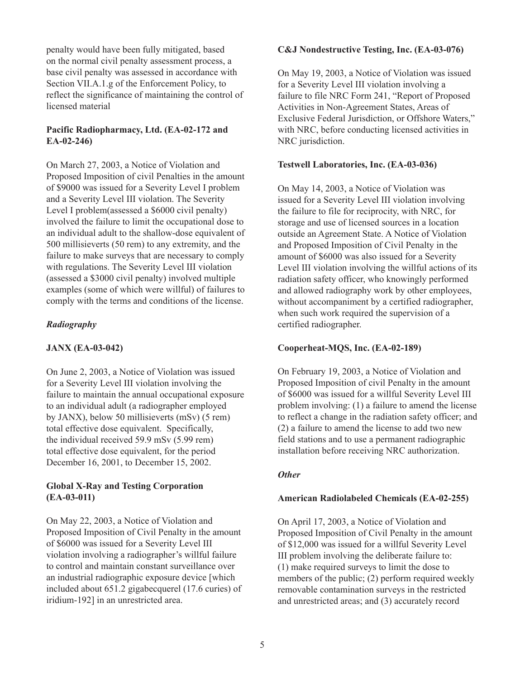penalty would have been fully mitigated, based on the normal civil penalty assessment process, a base civil penalty was assessed in accordance with Section VII.A.1.g of the Enforcement Policy, to reflect the significance of maintaining the control of licensed material

## **Pacific Radiopharmacy, Ltd. (EA-02-172 and EA-02-246)**

On March 27, 2003, a Notice of Violation and Proposed Imposition of civil Penalties in the amount of \$9000 was issued for a Severity Level I problem and a Severity Level III violation. The Severity Level I problem(assessed a \$6000 civil penalty) involved the failure to limit the occupational dose to an individual adult to the shallow-dose equivalent of 500 millisieverts (50 rem) to any extremity, and the failure to make surveys that are necessary to comply with regulations. The Severity Level III violation (assessed a \$3000 civil penalty) involved multiple examples (some of which were willful) of failures to comply with the terms and conditions of the license.

## *Radiography*

#### **JANX (EA-03-042)**

On June 2, 2003, a Notice of Violation was issued for a Severity Level III violation involving the failure to maintain the annual occupational exposure to an individual adult (a radiographer employed by JANX), below 50 millisieverts (mSv) (5 rem) total effective dose equivalent. Specifically, the individual received 59.9 mSv (5.99 rem) total effective dose equivalent, for the period December 16, 2001, to December 15, 2002.

## **Global X-Ray and Testing Corporation (EA-03-011)**

On May 22, 2003, a Notice of Violation and Proposed Imposition of Civil Penalty in the amount of \$6000 was issued for a Severity Level III violation involving a radiographer's willful failure to control and maintain constant surveillance over an industrial radiographic exposure device [which included about 651.2 gigabecquerel (17.6 curies) of iridium-192] in an unrestricted area.

#### **C&J Nondestructive Testing, Inc. (EA-03-076)**

On May 19, 2003, a Notice of Violation was issued for a Severity Level III violation involving a failure to file NRC Form 241, "Report of Proposed Activities in Non-Agreement States, Areas of Exclusive Federal Jurisdiction, or Offshore Waters," with NRC, before conducting licensed activities in NRC jurisdiction.

#### **Testwell Laboratories, Inc. (EA-03-036)**

On May 14, 2003, a Notice of Violation was issued for a Severity Level III violation involving the failure to file for reciprocity, with NRC, for storage and use of licensed sources in a location outside an Agreement State. A Notice of Violation and Proposed Imposition of Civil Penalty in the amount of \$6000 was also issued for a Severity Level III violation involving the willful actions of its radiation safety officer, who knowingly performed and allowed radiography work by other employees, without accompaniment by a certified radiographer, when such work required the supervision of a certified radiographer.

#### **Cooperheat-MQS, Inc. (EA-02-189)**

On February 19, 2003, a Notice of Violation and Proposed Imposition of civil Penalty in the amount of \$6000 was issued for a willful Severity Level III problem involving: (1) a failure to amend the license to reflect a change in the radiation safety officer; and (2) a failure to amend the license to add two new field stations and to use a permanent radiographic installation before receiving NRC authorization.

#### *Other*

#### **American Radiolabeled Chemicals (EA-02-255)**

On April 17, 2003, a Notice of Violation and Proposed Imposition of Civil Penalty in the amount of \$12,000 was issued for a willful Severity Level III problem involving the deliberate failure to: (1) make required surveys to limit the dose to members of the public; (2) perform required weekly removable contamination surveys in the restricted and unrestricted areas; and (3) accurately record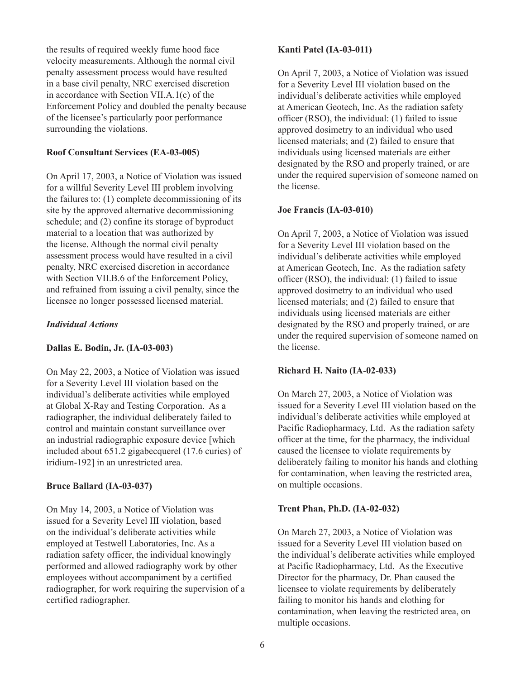the results of required weekly fume hood face velocity measurements. Although the normal civil penalty assessment process would have resulted in a base civil penalty, NRC exercised discretion in accordance with Section VII.A.1(c) of the Enforcement Policy and doubled the penalty because of the licensee's particularly poor performance surrounding the violations.

## **Roof Consultant Services (EA-03-005)**

On April 17, 2003, a Notice of Violation was issued for a willful Severity Level III problem involving the failures to: (1) complete decommissioning of its site by the approved alternative decommissioning schedule; and (2) confine its storage of byproduct material to a location that was authorized by the license. Although the normal civil penalty assessment process would have resulted in a civil penalty, NRC exercised discretion in accordance with Section VII.B.6 of the Enforcement Policy, and refrained from issuing a civil penalty, since the licensee no longer possessed licensed material.

## *Individual Actions*

#### **Dallas E. Bodin, Jr. (IA-03-003)**

On May 22, 2003, a Notice of Violation was issued for a Severity Level III violation based on the individual's deliberate activities while employed at Global X-Ray and Testing Corporation. As a radiographer, the individual deliberately failed to control and maintain constant surveillance over an industrial radiographic exposure device [which included about 651.2 gigabecquerel (17.6 curies) of iridium-192] in an unrestricted area.

## **Bruce Ballard (IA-03-037)**

On May 14, 2003, a Notice of Violation was issued for a Severity Level III violation, based on the individual's deliberate activities while employed at Testwell Laboratories, Inc. As a radiation safety officer, the individual knowingly performed and allowed radiography work by other employees without accompaniment by a certified radiographer, for work requiring the supervision of a certified radiographer.

#### **Kanti Patel (IA-03-011)**

On April 7, 2003, a Notice of Violation was issued for a Severity Level III violation based on the individual's deliberate activities while employed at American Geotech, Inc. As the radiation safety officer (RSO), the individual: (1) failed to issue approved dosimetry to an individual who used licensed materials; and (2) failed to ensure that individuals using licensed materials are either designated by the RSO and properly trained, or are under the required supervision of someone named on the license.

## **Joe Francis (IA-03-010)**

On April 7, 2003, a Notice of Violation was issued for a Severity Level III violation based on the individual's deliberate activities while employed at American Geotech, Inc. As the radiation safety officer (RSO), the individual: (1) failed to issue approved dosimetry to an individual who used licensed materials; and (2) failed to ensure that individuals using licensed materials are either designated by the RSO and properly trained, or are under the required supervision of someone named on the license.

## **Richard H. Naito (IA-02-033)**

On March 27, 2003, a Notice of Violation was issued for a Severity Level III violation based on the individual's deliberate activities while employed at Pacific Radiopharmacy, Ltd. As the radiation safety officer at the time, for the pharmacy, the individual caused the licensee to violate requirements by deliberately failing to monitor his hands and clothing for contamination, when leaving the restricted area, on multiple occasions.

#### **Trent Phan, Ph.D. (IA-02-032)**

On March 27, 2003, a Notice of Violation was issued for a Severity Level III violation based on the individual's deliberate activities while employed at Pacific Radiopharmacy, Ltd. As the Executive Director for the pharmacy, Dr. Phan caused the licensee to violate requirements by deliberately failing to monitor his hands and clothing for contamination, when leaving the restricted area, on multiple occasions.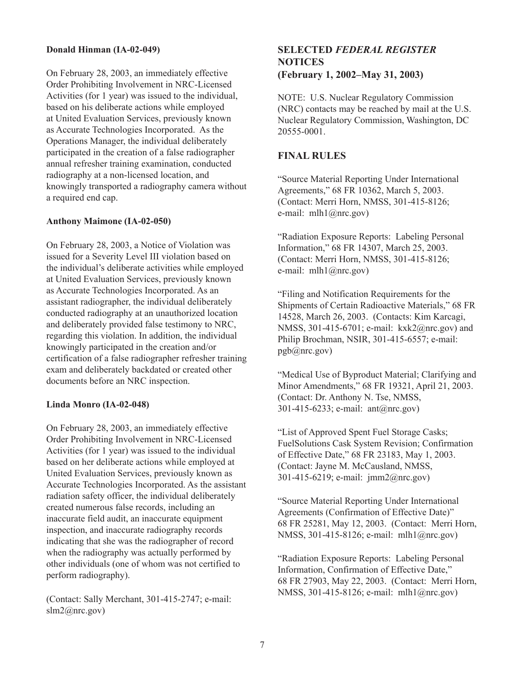## **Donald Hinman (IA-02-049)**

On February 28, 2003, an immediately effective Order Prohibiting Involvement in NRC-Licensed Activities (for 1 year) was issued to the individual, based on his deliberate actions while employed at United Evaluation Services, previously known as Accurate Technologies Incorporated. As the Operations Manager, the individual deliberately participated in the creation of a false radiographer annual refresher training examination, conducted radiography at a non-licensed location, and knowingly transported a radiography camera without a required end cap.

#### **Anthony Maimone (IA-02-050)**

On February 28, 2003, a Notice of Violation was issued for a Severity Level III violation based on the individual's deliberate activities while employed at United Evaluation Services, previously known as Accurate Technologies Incorporated. As an assistant radiographer, the individual deliberately conducted radiography at an unauthorized location and deliberately provided false testimony to NRC, regarding this violation. In addition, the individual knowingly participated in the creation and/or certification of a false radiographer refresher training exam and deliberately backdated or created other documents before an NRC inspection.

#### **Linda Monro (IA-02-048)**

On February 28, 2003, an immediately effective Order Prohibiting Involvement in NRC-Licensed Activities (for 1 year) was issued to the individual based on her deliberate actions while employed at United Evaluation Services, previously known as Accurate Technologies Incorporated. As the assistant radiation safety officer, the individual deliberately created numerous false records, including an inaccurate field audit, an inaccurate equipment inspection, and inaccurate radiography records indicating that she was the radiographer of record when the radiography was actually performed by other individuals (one of whom was not certified to perform radiography).

(Contact: Sally Merchant, 301-415-2747; e-mail: slm2@nrc.gov)

# **SELECTED** *FEDERAL REGISTER* **NOTICES (February 1, 2002–May 31, 2003)**

NOTE: U.S. Nuclear Regulatory Commission (NRC) contacts may be reached by mail at the U.S. Nuclear Regulatory Commission, Washington, DC 20555-0001.

# **FINAL RULES**

"Source Material Reporting Under International Agreements," 68 FR 10362, March 5, 2003. (Contact: Merri Horn, NMSS, 301-415-8126; e-mail: mlh1@nrc.gov)

"Radiation Exposure Reports: Labeling Personal Information," 68 FR 14307, March 25, 2003. (Contact: Merri Horn, NMSS, 301-415-8126; e-mail: mlh1@nrc.gov)

"Filing and Notification Requirements for the Shipments of Certain Radioactive Materials," 68 FR 14528, March 26, 2003. (Contacts: Kim Karcagi, NMSS, 301-415-6701; e-mail: kxk2@nrc.gov) and Philip Brochman, NSIR, 301-415-6557; e-mail: pgb@nrc.gov)

"Medical Use of Byproduct Material; Clarifying and Minor Amendments," 68 FR 19321, April 21, 2003. (Contact: Dr. Anthony N. Tse, NMSS, 301-415-6233; e-mail: ant@nrc.gov)

"List of Approved Spent Fuel Storage Casks; FuelSolutions Cask System Revision; Confirmation of Effective Date," 68 FR 23183, May 1, 2003. (Contact: Jayne M. McCausland, NMSS, 301-415-6219; e-mail: jmm2@nrc.gov)

"Source Material Reporting Under International Agreements (Confirmation of Effective Date)" 68 FR 25281, May 12, 2003. (Contact: Merri Horn, NMSS, 301-415-8126; e-mail: mlh1@nrc.gov)

"Radiation Exposure Reports: Labeling Personal Information, Confirmation of Effective Date," 68 FR 27903, May 22, 2003. (Contact: Merri Horn, NMSS, 301-415-8126; e-mail: mlh1@nrc.gov)